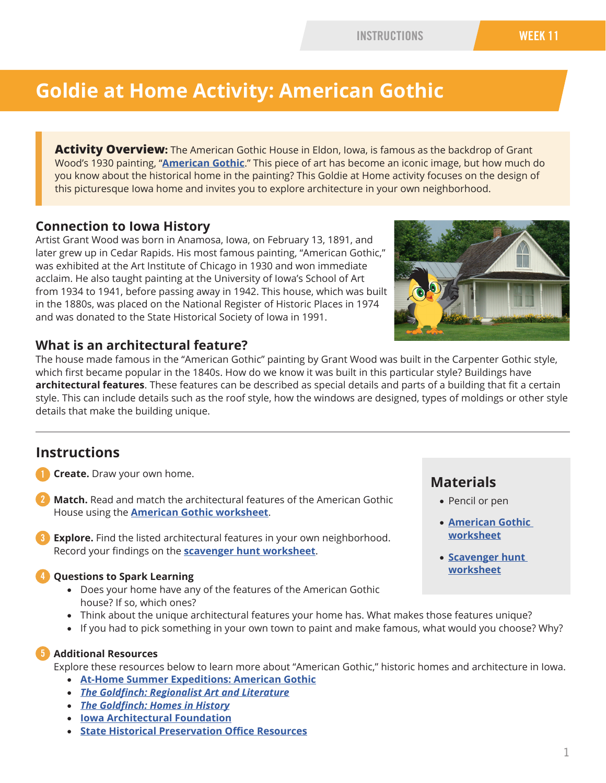### INSTRUCTIONS WEEK 11

# **Goldie at Home Activity: American Gothic**

**Activity Overview:** The American Gothic House in Eldon, Iowa, is famous as the backdrop of Grant Wood's 1930 painting, "**[American Gothic](https://www.artic.edu/artworks/6565/american-gothic)**." This piece of art has become an iconic image, but how much do you know about the historical home in the painting? This Goldie at Home activity focuses on the design of this picturesque Iowa home and invites you to explore architecture in your own neighborhood.

### **Connection to Iowa History**

Artist Grant Wood was born in Anamosa, Iowa, on February 13, 1891, and later grew up in Cedar Rapids. His most famous painting, "American Gothic," was exhibited at the Art Institute of Chicago in 1930 and won immediate acclaim. He also taught painting at the University of Iowa's School of Art from 1934 to 1941, before passing away in 1942. This house, which was built in the 1880s, was placed on the National Register of Historic Places in 1974 and was donated to the State Historical Society of Iowa in 1991.



### **What is an architectural feature?**

The house made famous in the "American Gothic" painting by Grant Wood was built in the Carpenter Gothic style, which first became popular in the 1840s. How do we know it was built in this particular style? Buildings have **architectural features**. These features can be described as special details and parts of a building that fit a certain style. This can include details such as the roof style, how the windows are designed, types of moldings or other style details that make the building unique.

### **Instructions**

- **Create.** Draw your own home.
- **Match.** Read and match the architectural features of the American Gothic House using the **[American Gothic worksheet](#page-1-0)**. 2
- **Explore.** Find the listed architectural features in your own neighborhood. Record your findings on the **[scavenger hunt worksheet](#page-3-0)**. 3

### **Questions to Spark Learning**

• Does your home have any of the features of the American Gothic house? If so, which ones?

## **Materials**

- Pencil or pen
- **American Gothic w[orksheet](#page-1-0)**
- **[Scavenger hunt](#page-3-0)  [worksheet](#page-3-0)**
- Think about the unique architectural features your home has. What makes those features unique?
- If you had to pick something in your own town to paint and make famous, what would you choose? Why?

### **Additional Resources**

Explore these resources below to learn more about "American Gothic," historic homes and architecture in Iowa.

- **[At-Home Summer Expeditions: American Gothic](https://iowaculture.gov/goldie-summer/american-gothic)**
- *The Goldfinch: Regionalist Art and Literature*
- *[The Goldfinch: Homes in History](https://ir.uiowa.edu/cgi/viewcontent.cgi?article=1055&context=goldfinch)*
- **[Iowa Architectural Foundation](http://www.iowaarchfoundation.org/)**
- **[State Historical Preservation Office Resources](https://iowaculture.gov/history/research/collections/places-people)**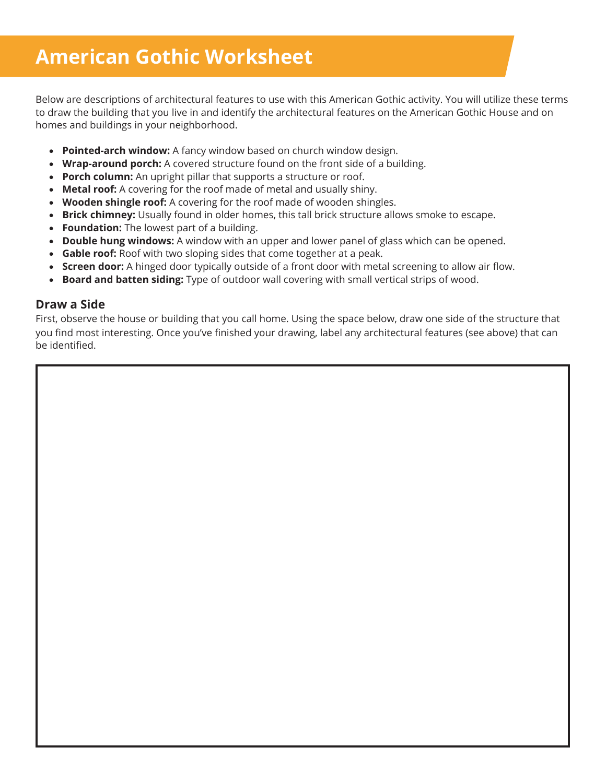# <span id="page-1-0"></span>**American Gothic Worksheet**

**Good Deed Tree** Below are descriptions of architectural features to use with this American Gothic activity. You will utilize these terms to draw the building that you live in and identify the architectural features on the American Gothic House and on homes and buildings in your neighborhood.

- **Pointed-arch window:** A fancy window based on church window design.
- **Wrap-around porch:** A covered structure found on the front side of a building.
- **Porch column:** An upright pillar that supports a structure or roof.
- **Metal roof:** A covering for the roof made of metal and usually shiny.
- **Wooden shingle roof:** A covering for the roof made of wooden shingles.
- **Brick chimney:** Usually found in older homes, this tall brick structure allows smoke to escape.
- **Foundation:** The lowest part of a building.
- **Double hung windows:** A window with an upper and lower panel of glass which can be opened.
- **Gable roof:** Roof with two sloping sides that come together at a peak.
- **Screen door:** A hinged door typically outside of a front door with metal screening to allow air flow.
- **Board and batten siding:** Type of outdoor wall covering with small vertical strips of wood.

#### **Draw a Side**

First, observe the house or building that you call home. Using the space below, draw one side of the structure that you find most interesting. Once you've finished your drawing, label any architectural features (see above) that can be identified.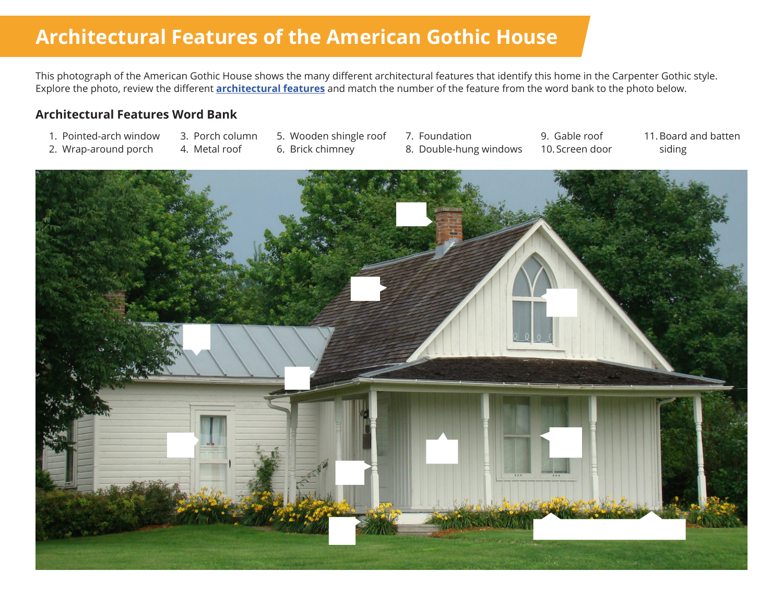# **Architectural Features of the American Gothic House**

This photograph of the American Gothic House shows the many different architectural features that identify this home in the Carpenter Gothic style. Explore the photo, review the different **[architectural features](#page-1-0)** and match the number of the feature from the word bank to the photo below.

### **Architectural Features Word Bank**

- 1. Pointed-arch window
- 3. Porch column
- 5. Wooden shingle roof
	- 6. Brick chimney
- 7. Foundation 8. Double-hung windows

9. Gable roof 10. Screen door

11.Board and batten siding

- 2. Wrap-around porch
- 4. Metal roof